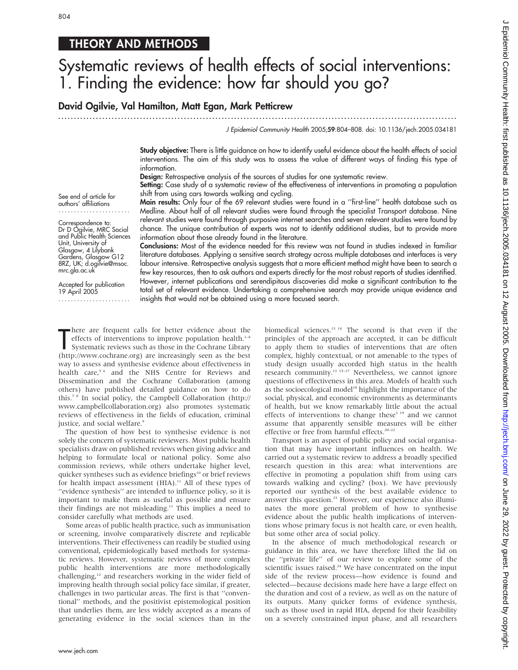## THEORY AND METHODS

# Systematic reviews of health effects of social interventions: 1. Finding the evidence: how far should you go?

## David Ogilvie, Val Hamilton, Matt Egan, Mark Petticrew

...............................................................................................................................

J Epidemiol Community Health 2005;59:804–808. doi: 10.1136/jech.2005.034181

Study objective: There is little guidance on how to identify useful evidence about the health effects of social interventions. The aim of this study was to assess the value of different ways of finding this type of information.

Design: Retrospective analysis of the sources of studies for one systematic review.

Setting: Case study of a systematic review of the effectiveness of interventions in promoting a population shift from using cars towards walking and cycling.

See end of article for authors' affiliations

Correspondence to: Dr D Ogilvie, MRC Social and Public Health Sciences Unit, University of Glasgow, 4 Lilybank Gardens, Glasgow G12 8RZ, UK; d.ogilvie@msoc. mrc.gla.ac.uk

Accepted for publication 19 April 2005 ....................... Main results: Only four of the 69 relevant studies were found in a ''first-line'' health database such as Medline. About half of all relevant studies were found through the specialist Transport database. Nine relevant studies were found through purposive internet searches and seven relevant studies were found by chance. The unique contribution of experts was not to identify additional studies, but to provide more information about those already found in the literature.

Conclusions: Most of the evidence needed for this review was not found in studies indexed in familiar literature databases. Applying a sensitive search strategy across multiple databases and interfaces is very labour intensive. Retrospective analysis suggests that a more efficient method might have been to search a few key resources, then to ask authors and experts directly for the most robust reports of studies identified. However, internet publications and serendipitous discoveries did make a significant contribution to the total set of relevant evidence. Undertaking a comprehensive search may provide unique evidence and insights that would not be obtained using a more focused search.

There are frequent calls for better evidence about the effects of interventions to improve population health.<sup>1-4</sup> Systematic reviews such as those in the Cochrane Library (http://www.cochrane.org) are increasingly seen as here are frequent calls for better evidence about the effects of interventions to improve population health.<sup>1-4</sup> Systematic reviews such as those in the Cochrane Library way to assess and synthesise evidence about effectiveness in health care,<sup>5 6</sup> and the NHS Centre for Reviews and Dissemination and the Cochrane Collaboration (among others) have published detailed guidance on how to do this.7 8 In social policy, the Campbell Collaboration (http:// www.campbellcollaboration.org) also promotes systematic reviews of effectiveness in the fields of education, criminal justice, and social welfare.<sup>9</sup>

The question of how best to synthesise evidence is not solely the concern of systematic reviewers. Most public health specialists draw on published reviews when giving advice and helping to formulate local or national policy. Some also commission reviews, while others undertake higher level, quicker syntheses such as evidence briefings<sup>10</sup> or brief reviews for health impact assessment (HIA).<sup>11</sup> All of these types of "evidence synthesis" are intended to influence policy, so it is important to make them as useful as possible and ensure their findings are not misleading.11 This implies a need to consider carefully what methods are used.

Some areas of public health practice, such as immunisation or screening, involve comparatively discrete and replicable interventions. Their effectiveness can readily be studied using conventional, epidemiologically based methods for systematic reviews. However, systematic reviews of more complex public health interventions are more methodologically challenging,12 and researchers working in the wider field of improving health through social policy face similar, if greater, challenges in two particular areas. The first is that ''conventional'' methods, and the positivist epistemological position that underlies them, are less widely accepted as a means of generating evidence in the social sciences than in the biomedical sciences.13 14 The second is that even if the principles of the approach are accepted, it can be difficult to apply them to studies of interventions that are often complex, highly contextual, or not amenable to the types of study design usually accorded high status in the health research community.13 15–17 Nevertheless, we cannot ignore questions of effectiveness in this area. Models of health such as the socioecological model<sup>18</sup> highlight the importance of the social, physical, and economic environments as determinants of health, but we know remarkably little about the actual effects of interventions to change these<sup>3 19</sup> and we cannot assume that apparently sensible measures will be either effective or free from harmful effects.<sup>20-22</sup>

Transport is an aspect of public policy and social organisation that may have important influences on health. We carried out a systematic review to address a broadly specified research question in this area: what interventions are effective in promoting a population shift from using cars towards walking and cycling? (box). We have previously reported our synthesis of the best available evidence to answer this question.<sup>23</sup> However, our experience also illuminates the more general problem of how to synthesise evidence about the public health implications of interventions whose primary focus is not health care, or even health, but some other area of social policy.

In the absence of much methodological research or guidance in this area, we have therefore lifted the lid on the ''private life'' of our review to explore some of the scientific issues raised.<sup>24</sup> We have concentrated on the input side of the review process—how evidence is found and selected—because decisions made here have a large effect on the duration and cost of a review, as well as on the nature of its outputs. Many quicker forms of evidence synthesis, such as those used in rapid HIA, depend for their feasibility on a severely constrained input phase, and all researchers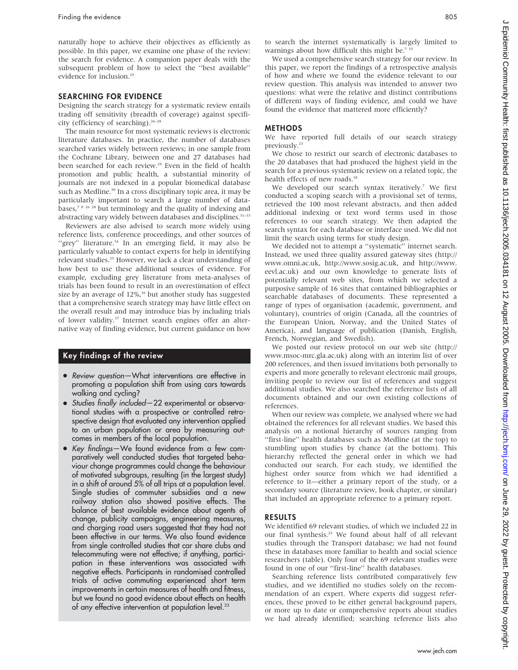naturally hope to achieve their objectives as efficiently as possible. In this paper, we examine one phase of the review: the search for evidence. A companion paper deals with the subsequent problem of how to select the ''best available'' evidence for inclusion.<sup>25</sup>

#### SEARCHING FOR EVIDENCE

Designing the search strategy for a systematic review entails trading off sensitivity (breadth of coverage) against specificity (efficiency of searching).<sup>26–28</sup>

The main resource for most systematic reviews is electronic literature databases. In practice, the number of databases searched varies widely between reviews; in one sample from the Cochrane Library, between one and 27 databases had been searched for each review.<sup>29</sup> Even in the field of health promotion and public health, a substantial minority of journals are not indexed in a popular biomedical database such as Medline.<sup>30</sup> In a cross disciplinary topic area, it may be particularly important to search a large number of databases,<sup>7 8 26</sup> <sup>28</sup> but terminology and the quality of indexing and abstracting vary widely between databases and disciplines.<sup>31-33</sup>

Reviewers are also advised to search more widely using reference lists, conference proceedings, and other sources of "grey" literature.<sup>34</sup> In an emerging field, it may also be particularly valuable to contact experts for help in identifying relevant studies.<sup>35</sup> However, we lack a clear understanding of how best to use these additional sources of evidence. For example, excluding grey literature from meta-analyses of trials has been found to result in an overestimation of effect size by an average of  $12\%$ ,<sup>36</sup> but another study has suggested that a comprehensive search strategy may have little effect on the overall result and may introduce bias by including trials of lower validity.<sup>37</sup> Internet search engines offer an alternative way of finding evidence, but current guidance on how

### Key findings of the review

- Review question—What interventions are effective in promoting a population shift from using cars towards walking and cycling?
- Studies finally included-22 experimental or observational studies with a prospective or controlled retrospective design that evaluated any intervention applied to an urban population or area by measuring outcomes in members of the local population.
- $\bullet$  Key findings—We found evidence from a few comparatively well conducted studies that targeted behaviour change programmes could change the behaviour of motivated subgroups, resulting (in the largest study) in a shift of around 5% of all trips at a population level. Single studies of commuter subsidies and a new railway station also showed positive effects. The balance of best available evidence about agents of change, publicity campaigns, engineering measures, and charging road users suggested that they had not been effective in our terms. We also found evidence from single controlled studies that car share clubs and telecommuting were not effective; if anything, participation in these interventions was associated with negative effects. Participants in randomised controlled trials of active commuting experienced short term improvements in certain measures of health and fitness, but we found no good evidence about effects on health of any effective intervention at population level.<sup>23</sup>

to search the internet systematically is largely limited to warnings about how difficult this might be.<sup>733</sup>

We used a comprehensive search strategy for our review. In this paper, we report the findings of a retrospective analysis of how and where we found the evidence relevant to our review question. This analysis was intended to answer two questions: what were the relative and distinct contributions of different ways of finding evidence, and could we have found the evidence that mattered more efficiently?

#### METHODS

We have reported full details of our search strategy previously.<sup>23</sup>

We chose to restrict our search of electronic databases to the 20 databases that had produced the highest yield in the search for a previous systematic review on a related topic, the health effects of new roads.<sup>38</sup>

We developed our search syntax iteratively.<sup>7</sup> We first conducted a scoping search with a provisional set of terms, retrieved the 100 most relevant abstracts, and then added additional indexing or text word terms used in those references to our search strategy. We then adapted the search syntax for each database or interface used. We did not limit the search using terms for study design.

We decided not to attempt a ''systematic'' internet search. Instead, we used three quality assured gateway sites (http:// www.omni.ac.uk, http://www.sosig.ac.uk, and http://www. eevl.ac.uk) and our own knowledge to generate lists of potentially relevant web sites, from which we selected a purposive sample of 16 sites that contained bibliographies or searchable databases of documents. These represented a range of types of organisation (academic, government, and voluntary), countries of origin (Canada, all the countries of the European Union, Norway, and the United States of America), and language of publication (Danish, English, French, Norwegian, and Swedish).

We posted our review protocol on our web site (http:// www.msoc-mrc.gla.ac.uk) along with an interim list of over 200 references, and then issued invitations both personally to experts and more generally to relevant electronic mail groups, inviting people to review our list of references and suggest additional studies. We also searched the reference lists of all documents obtained and our own existing collections of references.

When our review was complete, we analysed where we had obtained the references for all relevant studies. We based this analysis on a notional hierarchy of sources ranging from ''first-line'' health databases such as Medline (at the top) to stumbling upon studies by chance (at the bottom). This hierarchy reflected the general order in which we had conducted our search. For each study, we identified the highest order source from which we had identified a reference to it—either a primary report of the study, or a secondary source (literature review, book chapter, or similar) that included an appropriate reference to a primary report.

#### RESULTS

We identified 69 relevant studies, of which we included 22 in our final synthesis.<sup>23</sup> We found about half of all relevant studies through the Transport database; we had not found these in databases more familiar to health and social science researchers (table). Only four of the 69 relevant studies were found in one of our "first-line" health databases.

Searching reference lists contributed comparatively few studies, and we identified no studies solely on the recommendation of an expert. Where experts did suggest references, these proved to be either general background papers, or more up to date or comprehensive reports about studies we had already identified; searching reference lists also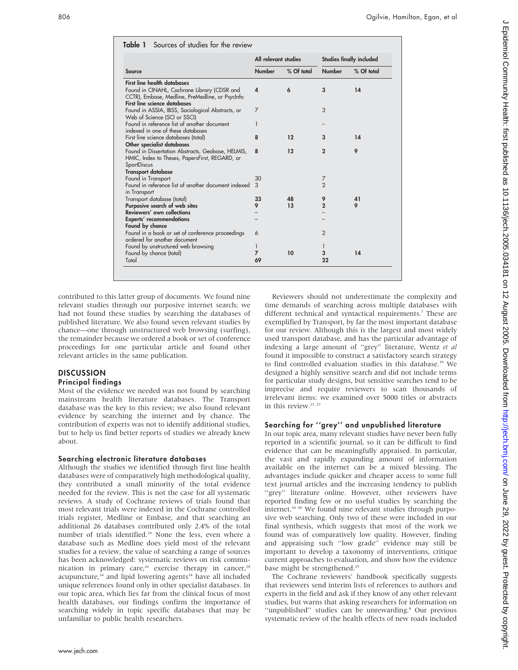| Source                                              | All relevant studies   |            | <b>Studies finally included</b> |            |
|-----------------------------------------------------|------------------------|------------|---------------------------------|------------|
|                                                     | <b>Number</b>          | % Of total | <b>Number</b>                   | % Of total |
| <b>First line health databases</b>                  |                        |            |                                 |            |
| Found in CINAHL, Cochrane Library (CDSR and         | $\boldsymbol{\Lambda}$ | 6          | 3                               | 14         |
| CCTR), Embase, Medline, PreMedline, or PsycInfo     |                        |            |                                 |            |
| First line science databases                        |                        |            |                                 |            |
| Found in ASSIA, IBSS, Sociological Abstracts, or    | $\overline{7}$         |            | 3                               |            |
| Web of Science (SCI or SSCI)                        |                        |            |                                 |            |
| Found in reference list of another document         | 1                      |            |                                 |            |
| indexed in one of these databases                   |                        |            |                                 |            |
| First line science databases (total)                | 8                      | 12         | 3                               | 14         |
| Other specialist databases                          |                        |            |                                 |            |
| Found in Dissertation Abstracts, Geobase, HELMIS,   | 8                      | 12         | $\overline{2}$                  | 9          |
| HMIC, Index to Theses, PapersFirst, REGARD, or      |                        |            |                                 |            |
| SportDiscus                                         |                        |            |                                 |            |
| <b>Transport database</b>                           |                        |            |                                 |            |
| Found in Transport                                  | 30                     |            | 7                               |            |
| Found in reference list of another document indexed | 3                      |            | $\overline{\phantom{0}}$        |            |
| in Transport                                        |                        |            |                                 |            |
| Transport database (total)                          | 33                     | 48         | 9                               | 41         |
| Purposive search of web sites                       | 9                      | 13         | $\overline{2}$                  | 9          |
| Reviewers' own collections                          |                        |            |                                 |            |
| <b>Experts'</b> recommendations                     |                        |            |                                 |            |
| Found by chance                                     |                        |            |                                 |            |
| Found in a book or set of conference proceedings    | 6                      |            | 2                               |            |
| ordered for another document                        |                        |            |                                 |            |
| Found by unstructured web browsing                  | 1                      |            | ı                               |            |
| Found by chance (total)<br>Total                    | $\overline{7}$<br>69   | 10         | 3<br>22                         | 14         |

contributed to this latter group of documents. We found nine relevant studies through our purposive internet search; we had not found these studies by searching the databases of published literature. We also found seven relevant studies by chance—one through unstructured web browsing (surfing), the remainder because we ordered a book or set of conference proceedings for one particular article and found other relevant articles in the same publication.

#### DISCUSSION Principal findings

Most of the evidence we needed was not found by searching

mainstream health literature databases. The Transport database was the key to this review; we also found relevant evidence by searching the internet and by chance. The contribution of experts was not to identify additional studies, but to help us find better reports of studies we already knew about.

## Searching electronic literature databases

Although the studies we identified through first line health databases were of comparatively high methodological quality, they contributed a small minority of the total evidence needed for the review. This is not the case for all systematic reviews. A study of Cochrane reviews of trials found that most relevant trials were indexed in the Cochrane controlled trials register, Medline or Embase, and that searching an additional 26 databases contributed only 2.4% of the total number of trials identified.<sup>29</sup> None the less, even where a database such as Medline does yield most of the relevant studies for a review, the value of searching a range of sources has been acknowledged: systematic reviews on risk communication in primary care,<sup>26</sup> exercise therapy in cancer,<sup>28</sup> acupuncture,<sup>34</sup> and lipid lowering agents<sup>34</sup> have all included unique references found only in other specialist databases. In our topic area, which lies far from the clinical focus of most health databases, our findings confirm the importance of searching widely in topic specific databases that may be unfamiliar to public health researchers.

Reviewers should not underestimate the complexity and time demands of searching across multiple databases with different technical and syntactical requirements.<sup>7</sup> These are exemplified by Transport, by far the most important database for our review. Although this is the largest and most widely used transport database, and has the particular advantage of indexing a large amount of ''grey'' literature, Wentz et al found it impossible to construct a satisfactory search strategy to find controlled evaluation studies in this database.<sup>39</sup> We designed a highly sensitive search and did not include terms for particular study designs, but sensitive searches tend to be imprecise and require reviewers to scan thousands of irrelevant items: we examined over 5000 titles or abstracts in this review.<sup>23 27</sup>

## Searching for ''grey'' and unpublished literature

In our topic area, many relevant studies have never been fully reported in a scientific journal, so it can be difficult to find evidence that can be meaningfully appraised. In particular, the vast and rapidly expanding amount of information available on the internet can be a mixed blessing. The advantages include quicker and cheaper access to some full text journal articles and the increasing tendency to publish "grey" literature online. However, other reviewers have reported finding few or no useful studies by searching the internet.34 40 We found nine relevant studies through purposive web searching. Only two of these were included in our final synthesis, which suggests that most of the work we found was of comparatively low quality. However, finding and appraising such ''low grade'' evidence may still be important to develop a taxonomy of interventions, critique current approaches to evaluation, and show how the evidence base might be strengthened.<sup>25</sup>

The Cochrane reviewers' handbook specifically suggests that reviewers send interim lists of references to authors and experts in the field and ask if they know of any other relevant studies, but warns that asking researchers for information on "unpublished" studies can be unrewarding.<sup>8</sup> Our previous systematic review of the health effects of new roads included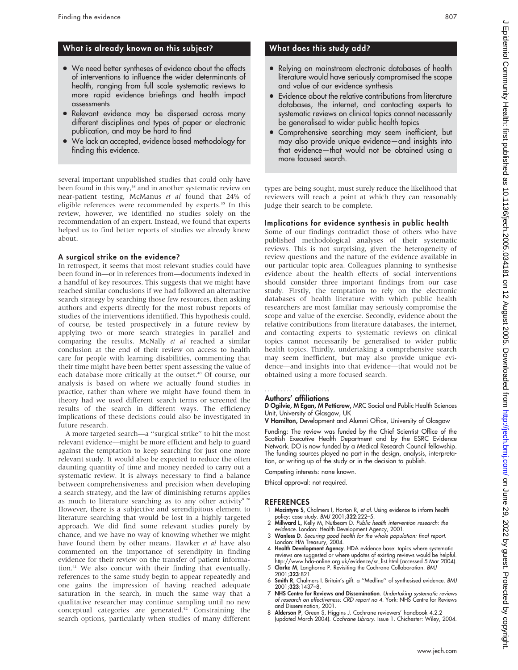## What is already known on this subject?

- We need better syntheses of evidence about the effects of interventions to influence the wider determinants of health, ranging from full scale systematic reviews to more rapid evidence briefings and health impact assessments
- Relevant evidence may be dispersed across many different disciplines and types of paper or electronic publication, and may be hard to find
- We lack an accepted, evidence based methodology for finding this evidence.

several important unpublished studies that could only have been found in this way,<sup>38</sup> and in another systematic review on near-patient testing, McManus et al found that 24% of eligible references were recommended by experts.<sup>35</sup> In this review, however, we identified no studies solely on the recommendation of an expert. Instead, we found that experts helped us to find better reports of studies we already knew about.

#### A surgical strike on the evidence?

In retrospect, it seems that most relevant studies could have been found in—or in references from—documents indexed in a handful of key resources. This suggests that we might have reached similar conclusions if we had followed an alternative search strategy by searching those few resources, then asking authors and experts directly for the most robust reports of studies of the interventions identified. This hypothesis could, of course, be tested prospectively in a future review by applying two or more search strategies in parallel and comparing the results. McNally et al reached a similar conclusion at the end of their review on access to health care for people with learning disabilities, commenting that their time might have been better spent assessing the value of each database more critically at the outset.<sup>40</sup> Of course, our analysis is based on where we actually found studies in practice, rather than where we might have found them in theory had we used different search terms or screened the results of the search in different ways. The efficiency implications of these decisions could also be investigated in future research.

A more targeted search—a ''surgical strike'' to hit the most relevant evidence—might be more efficient and help to guard against the temptation to keep searching for just one more relevant study. It would also be expected to reduce the often daunting quantity of time and money needed to carry out a systematic review. It is always necessary to find a balance between comprehensiveness and precision when developing a search strategy, and the law of diminishing returns applies as much to literature searching as to any other activity<sup>8 28</sup> However, there is a subjective and serendipitous element to literature searching that would be lost in a highly targeted approach. We did find some relevant studies purely by chance, and we have no way of knowing whether we might have found them by other means. Hawker et al have also commented on the importance of serendipity in finding evidence for their review on the transfer of patient information.41 We also concur with their finding that eventually, references to the same study begin to appear repeatedly and one gains the impression of having reached adequate saturation in the search, in much the same way that a qualitative researcher may continue sampling until no new conceptual categories are generated.42 Constraining the search options, particularly when studies of many different

## What does this study add?

- Relying on mainstream electronic databases of health literature would have seriously compromised the scope and value of our evidence synthesis
- $\bullet$  Evidence about the relative contributions from literature databases, the internet, and contacting experts to systematic reviews on clinical topics cannot necessarily be generalised to wider public health topics
- Comprehensive searching may seem inefficient, but may also provide unique evidence—and insights into that evidence—that would not be obtained using a more focused search.

types are being sought, must surely reduce the likelihood that reviewers will reach a point at which they can reasonably judge their search to be complete.

#### Implications for evidence synthesis in public health

Some of our findings contradict those of others who have published methodological analyses of their systematic reviews. This is not surprising, given the heterogeneity of review questions and the nature of the evidence available in our particular topic area. Colleagues planning to synthesise evidence about the health effects of social interventions should consider three important findings from our case study. Firstly, the temptation to rely on the electronic databases of health literature with which public health researchers are most familiar may seriously compromise the scope and value of the exercise. Secondly, evidence about the relative contributions from literature databases, the internet, and contacting experts to systematic reviews on clinical topics cannot necessarily be generalised to wider public health topics. Thirdly, undertaking a comprehensive search may seem inefficient, but may also provide unique evidence—and insights into that evidence—that would not be obtained using a more focused search.

#### Authors' affiliations .....................

D Ogilvie, M Egan, M Petticrew, MRC Social and Public Health Sciences Unit, University of Glasgow, UK

V Hamilton, Development and Alumni Office, University of Glasgow

Funding: The review was funded by the Chief Scientist Office of the Scottish Executive Health Department and by the ESRC Evidence Network. DO is now funded by a Medical Research Council fellowship. The funding sources played no part in the design, analysis, interpretation, or writing up of the study or in the decision to publish.

Competing interests: none known.

Ethical approval: not required.

#### **REFERENCES**

- Macintyre S, Chalmers I, Horton R, et al. Using evidence to inform health
- policy: case study. BMJ 2001;**322**:222–5.<br>2 Mil**lward L**, Kelly M, Nutbeam D. Public health intervention research: the<br>evidence. London: Health Development Agency, 2001.<br>3 W**anless D**. Securing good health for the whole po
- London: HM Treasury, 2004.
- 4 Health Development Agency. HDA evidence base: topics where systematic reviews are suggested or where updates of existing reviews would be helpful. http://www.hda-online.org.uk/evidence/sr\_list.html (accessed 5 Mar 2004). 5 Clarke M, Langhorne P. Revisiting the Cochrane Collaboration. BMJ
- 2001;323:821.
- 6 Smith R, Chalmers I. Britain's gift: a ''Medline'' of synthesised evidence. BMJ 2001;323:1437–8.
- 7 NHS Centre for Reviews and Dissemination. Undertaking systematic reviews of research on effectiveness: CRD report no 4. York: NHS Centre for Reviews and Dissemination, 2001.
- 8 Alderson P, Green S, Higgins J. Cochrane reviewers' handbook 4.2.2 (updated March 2004). Cochrane Library. Issue 1. Chichester: Wiley, 2004.